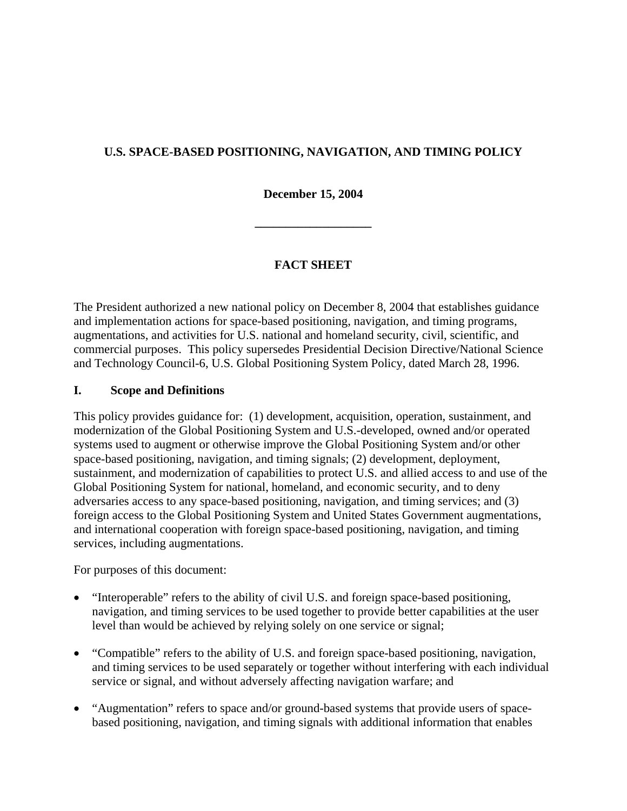# **U.S. SPACE-BASED POSITIONING, NAVIGATION, AND TIMING POLICY**

### **December 15, 2004**

**\_\_\_\_\_\_\_\_\_\_\_\_\_\_\_\_\_\_\_** 

## **FACT SHEET**

The President authorized a new national policy on December 8, 2004 that establishes guidance and implementation actions for space-based positioning, navigation, and timing programs, augmentations, and activities for U.S. national and homeland security, civil, scientific, and commercial purposes. This policy supersedes Presidential Decision Directive/National Science and Technology Council-6, U.S. Global Positioning System Policy, dated March 28, 1996.

#### **I. Scope and Definitions**

This policy provides guidance for: (1) development, acquisition, operation, sustainment, and modernization of the Global Positioning System and U.S.-developed, owned and/or operated systems used to augment or otherwise improve the Global Positioning System and/or other space-based positioning, navigation, and timing signals; (2) development, deployment, sustainment, and modernization of capabilities to protect U.S. and allied access to and use of the Global Positioning System for national, homeland, and economic security, and to deny adversaries access to any space-based positioning, navigation, and timing services; and (3) foreign access to the Global Positioning System and United States Government augmentations, and international cooperation with foreign space-based positioning, navigation, and timing services, including augmentations.

For purposes of this document:

- "Interoperable" refers to the ability of civil U.S. and foreign space-based positioning, navigation, and timing services to be used together to provide better capabilities at the user level than would be achieved by relying solely on one service or signal;
- "Compatible" refers to the ability of U.S. and foreign space-based positioning, navigation, and timing services to be used separately or together without interfering with each individual service or signal, and without adversely affecting navigation warfare; and
- "Augmentation" refers to space and/or ground-based systems that provide users of spacebased positioning, navigation, and timing signals with additional information that enables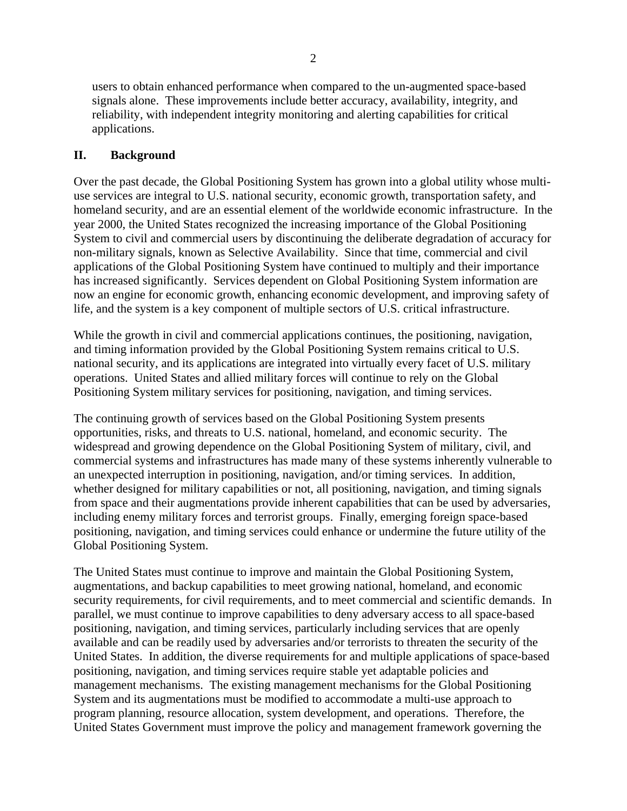users to obtain enhanced performance when compared to the un-augmented space-based signals alone. These improvements include better accuracy, availability, integrity, and reliability, with independent integrity monitoring and alerting capabilities for critical applications.

#### **II. Background**

Over the past decade, the Global Positioning System has grown into a global utility whose multiuse services are integral to U.S. national security, economic growth, transportation safety, and homeland security, and are an essential element of the worldwide economic infrastructure. In the year 2000, the United States recognized the increasing importance of the Global Positioning System to civil and commercial users by discontinuing the deliberate degradation of accuracy for non-military signals, known as Selective Availability. Since that time, commercial and civil applications of the Global Positioning System have continued to multiply and their importance has increased significantly. Services dependent on Global Positioning System information are now an engine for economic growth, enhancing economic development, and improving safety of life, and the system is a key component of multiple sectors of U.S. critical infrastructure.

While the growth in civil and commercial applications continues, the positioning, navigation, and timing information provided by the Global Positioning System remains critical to U.S. national security, and its applications are integrated into virtually every facet of U.S. military operations. United States and allied military forces will continue to rely on the Global Positioning System military services for positioning, navigation, and timing services.

The continuing growth of services based on the Global Positioning System presents opportunities, risks, and threats to U.S. national, homeland, and economic security. The widespread and growing dependence on the Global Positioning System of military, civil, and commercial systems and infrastructures has made many of these systems inherently vulnerable to an unexpected interruption in positioning, navigation, and/or timing services. In addition, whether designed for military capabilities or not, all positioning, navigation, and timing signals from space and their augmentations provide inherent capabilities that can be used by adversaries, including enemy military forces and terrorist groups. Finally, emerging foreign space-based positioning, navigation, and timing services could enhance or undermine the future utility of the Global Positioning System.

The United States must continue to improve and maintain the Global Positioning System, augmentations, and backup capabilities to meet growing national, homeland, and economic security requirements, for civil requirements, and to meet commercial and scientific demands. In parallel, we must continue to improve capabilities to deny adversary access to all space-based positioning, navigation, and timing services, particularly including services that are openly available and can be readily used by adversaries and/or terrorists to threaten the security of the United States. In addition, the diverse requirements for and multiple applications of space-based positioning, navigation, and timing services require stable yet adaptable policies and management mechanisms. The existing management mechanisms for the Global Positioning System and its augmentations must be modified to accommodate a multi-use approach to program planning, resource allocation, system development, and operations. Therefore, the United States Government must improve the policy and management framework governing the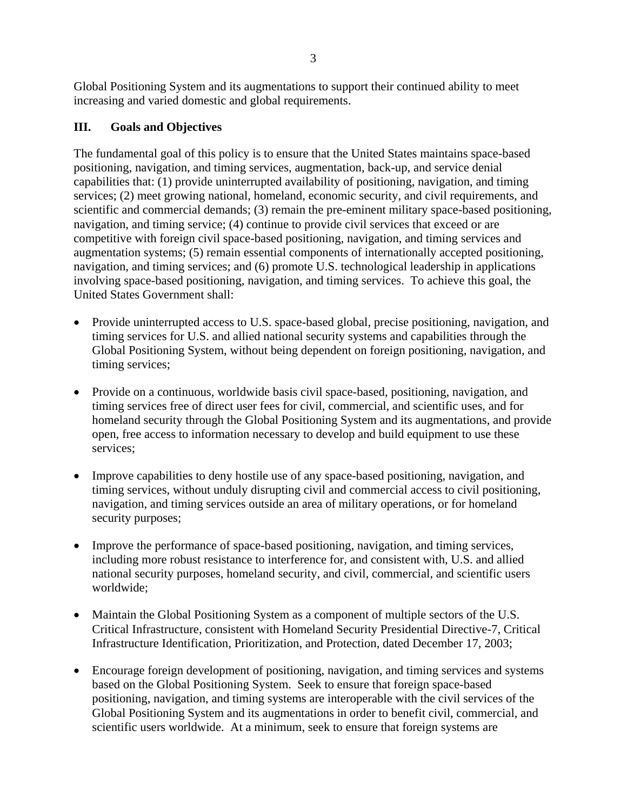Global Positioning System and its augmentations to support their continued ability to meet increasing and varied domestic and global requirements.

## **III. Goals and Objectives**

The fundamental goal of this policy is to ensure that the United States maintains space-based positioning, navigation, and timing services, augmentation, back-up, and service denial capabilities that: (1) provide uninterrupted availability of positioning, navigation, and timing services; (2) meet growing national, homeland, economic security, and civil requirements, and scientific and commercial demands; (3) remain the pre-eminent military space-based positioning, navigation, and timing service; (4) continue to provide civil services that exceed or are competitive with foreign civil space-based positioning, navigation, and timing services and augmentation systems; (5) remain essential components of internationally accepted positioning, navigation, and timing services; and (6) promote U.S. technological leadership in applications involving space-based positioning, navigation, and timing services. To achieve this goal, the United States Government shall:

- Provide uninterrupted access to U.S. space-based global, precise positioning, navigation, and timing services for U.S. and allied national security systems and capabilities through the Global Positioning System, without being dependent on foreign positioning, navigation, and timing services;
- Provide on a continuous, worldwide basis civil space-based, positioning, navigation, and timing services free of direct user fees for civil, commercial, and scientific uses, and for homeland security through the Global Positioning System and its augmentations, and provide open, free access to information necessary to develop and build equipment to use these services;
- Improve capabilities to deny hostile use of any space-based positioning, navigation, and timing services, without unduly disrupting civil and commercial access to civil positioning, navigation, and timing services outside an area of military operations, or for homeland security purposes;
- Improve the performance of space-based positioning, navigation, and timing services, including more robust resistance to interference for, and consistent with, U.S. and allied national security purposes, homeland security, and civil, commercial, and scientific users worldwide;
- Maintain the Global Positioning System as a component of multiple sectors of the U.S. Critical Infrastructure, consistent with Homeland Security Presidential Directive-7, Critical Infrastructure Identification, Prioritization, and Protection, dated December 17, 2003;
- Encourage foreign development of positioning, navigation, and timing services and systems based on the Global Positioning System.Seek to ensure that foreign space-based positioning, navigation, and timing systems are interoperable with the civil services of the Global Positioning System and its augmentations in order to benefit civil, commercial, and scientific users worldwide. At a minimum, seek to ensure that foreign systems are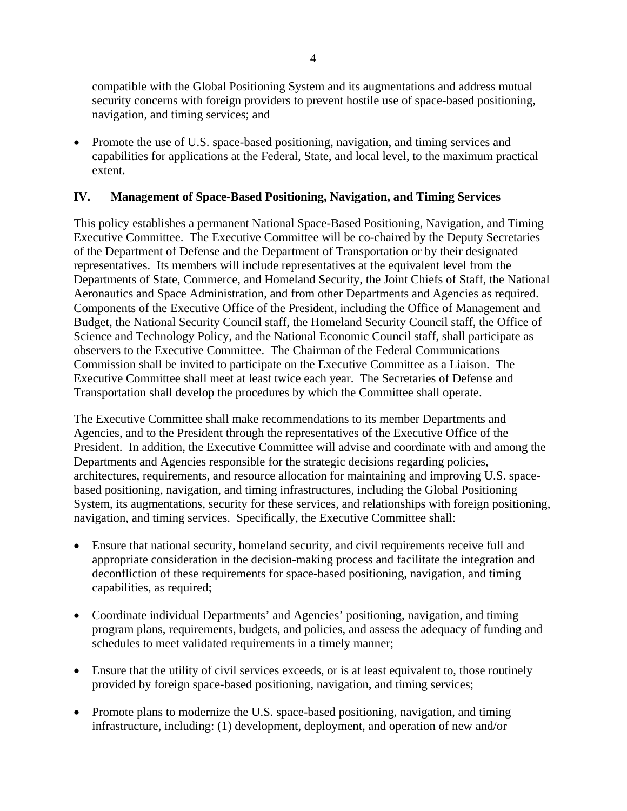compatible with the Global Positioning System and its augmentations and address mutual security concerns with foreign providers to prevent hostile use of space-based positioning, navigation, and timing services; and

• Promote the use of U.S. space-based positioning, navigation, and timing services and capabilities for applications at the Federal, State, and local level, to the maximum practical extent.

### **IV. Management of Space-Based Positioning, Navigation, and Timing Services**

This policy establishes a permanent National Space-Based Positioning, Navigation, and Timing Executive Committee. The Executive Committee will be co-chaired by the Deputy Secretaries of the Department of Defense and the Department of Transportation or by their designated representatives. Its members will include representatives at the equivalent level from the Departments of State, Commerce, and Homeland Security, the Joint Chiefs of Staff, the National Aeronautics and Space Administration, and from other Departments and Agencies as required. Components of the Executive Office of the President, including the Office of Management and Budget, the National Security Council staff, the Homeland Security Council staff, the Office of Science and Technology Policy, and the National Economic Council staff, shall participate as observers to the Executive Committee. The Chairman of the Federal Communications Commission shall be invited to participate on the Executive Committee as a Liaison. The Executive Committee shall meet at least twice each year. The Secretaries of Defense and Transportation shall develop the procedures by which the Committee shall operate.

The Executive Committee shall make recommendations to its member Departments and Agencies, and to the President through the representatives of the Executive Office of the President. In addition, the Executive Committee will advise and coordinate with and among the Departments and Agencies responsible for the strategic decisions regarding policies, architectures, requirements, and resource allocation for maintaining and improving U.S. spacebased positioning, navigation, and timing infrastructures, including the Global Positioning System, its augmentations, security for these services, and relationships with foreign positioning, navigation, and timing services. Specifically, the Executive Committee shall:

- Ensure that national security, homeland security, and civil requirements receive full and appropriate consideration in the decision-making process and facilitate the integration and deconfliction of these requirements for space-based positioning, navigation, and timing capabilities, as required;
- Coordinate individual Departments' and Agencies' positioning, navigation, and timing program plans, requirements, budgets, and policies, and assess the adequacy of funding and schedules to meet validated requirements in a timely manner;
- Ensure that the utility of civil services exceeds, or is at least equivalent to, those routinely provided by foreign space-based positioning, navigation, and timing services;
- Promote plans to modernize the U.S. space-based positioning, navigation, and timing infrastructure, including: (1) development, deployment, and operation of new and/or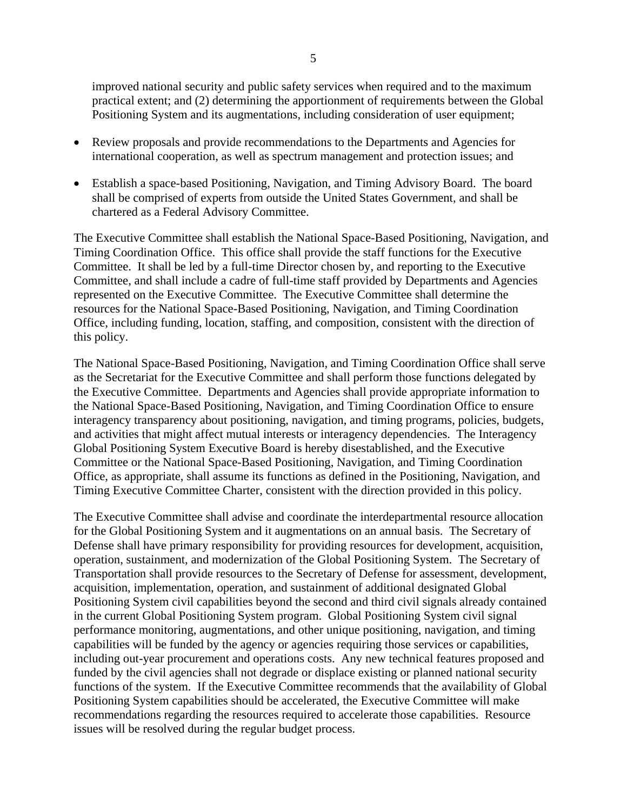improved national security and public safety services when required and to the maximum practical extent; and (2) determining the apportionment of requirements between the Global Positioning System and its augmentations, including consideration of user equipment;

- Review proposals and provide recommendations to the Departments and Agencies for international cooperation, as well as spectrum management and protection issues; and
- Establish a space-based Positioning, Navigation, and Timing Advisory Board. The board shall be comprised of experts from outside the United States Government, and shall be chartered as a Federal Advisory Committee.

The Executive Committee shall establish the National Space-Based Positioning, Navigation, and Timing Coordination Office. This office shall provide the staff functions for the Executive Committee. It shall be led by a full-time Director chosen by, and reporting to the Executive Committee, and shall include a cadre of full-time staff provided by Departments and Agencies represented on the Executive Committee. The Executive Committee shall determine the resources for the National Space-Based Positioning, Navigation, and Timing Coordination Office, including funding, location, staffing, and composition, consistent with the direction of this policy.

The National Space-Based Positioning, Navigation, and Timing Coordination Office shall serve as the Secretariat for the Executive Committee and shall perform those functions delegated by the Executive Committee. Departments and Agencies shall provide appropriate information to the National Space-Based Positioning, Navigation, and Timing Coordination Office to ensure interagency transparency about positioning, navigation, and timing programs, policies, budgets, and activities that might affect mutual interests or interagency dependencies. The Interagency Global Positioning System Executive Board is hereby disestablished, and the Executive Committee or the National Space-Based Positioning, Navigation, and Timing Coordination Office, as appropriate, shall assume its functions as defined in the Positioning, Navigation, and Timing Executive Committee Charter, consistent with the direction provided in this policy.

The Executive Committee shall advise and coordinate the interdepartmental resource allocation for the Global Positioning System and it augmentations on an annual basis. The Secretary of Defense shall have primary responsibility for providing resources for development, acquisition, operation, sustainment, and modernization of the Global Positioning System. The Secretary of Transportation shall provide resources to the Secretary of Defense for assessment, development, acquisition, implementation, operation, and sustainment of additional designated Global Positioning System civil capabilities beyond the second and third civil signals already contained in the current Global Positioning System program. Global Positioning System civil signal performance monitoring, augmentations, and other unique positioning, navigation, and timing capabilities will be funded by the agency or agencies requiring those services or capabilities, including out-year procurement and operations costs. Any new technical features proposed and funded by the civil agencies shall not degrade or displace existing or planned national security functions of the system. If the Executive Committee recommends that the availability of Global Positioning System capabilities should be accelerated, the Executive Committee will make recommendations regarding the resources required to accelerate those capabilities. Resource issues will be resolved during the regular budget process.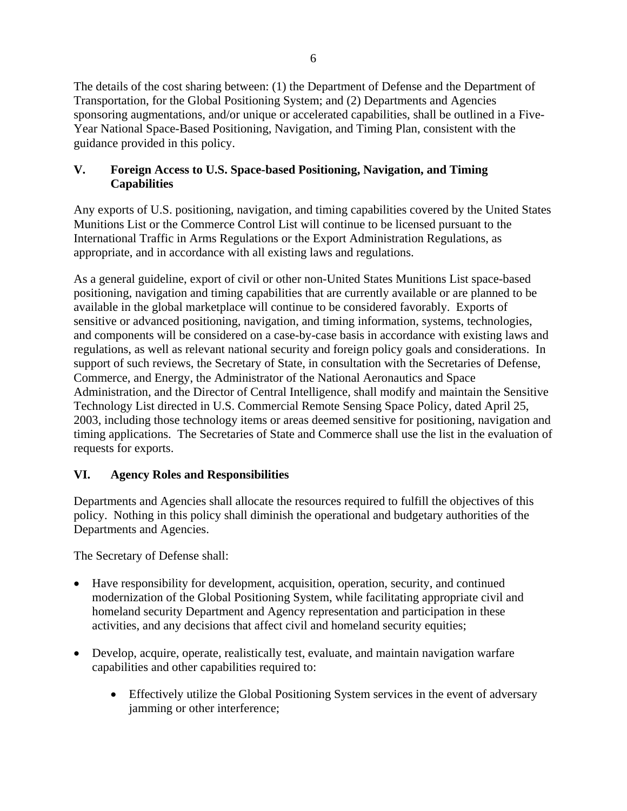The details of the cost sharing between: (1) the Department of Defense and the Department of Transportation, for the Global Positioning System; and (2) Departments and Agencies sponsoring augmentations, and/or unique or accelerated capabilities, shall be outlined in a Five-Year National Space-Based Positioning, Navigation, and Timing Plan, consistent with the guidance provided in this policy.

### **V. Foreign Access to U.S. Space-based Positioning, Navigation, and Timing Capabilities**

Any exports of U.S. positioning, navigation, and timing capabilities covered by the United States Munitions List or the Commerce Control List will continue to be licensed pursuant to the International Traffic in Arms Regulations or the Export Administration Regulations, as appropriate, and in accordance with all existing laws and regulations.

As a general guideline, export of civil or other non-United States Munitions List space-based positioning, navigation and timing capabilities that are currently available or are planned to be available in the global marketplace will continue to be considered favorably. Exports of sensitive or advanced positioning, navigation, and timing information, systems, technologies, and components will be considered on a case-by-case basis in accordance with existing laws and regulations, as well as relevant national security and foreign policy goals and considerations. In support of such reviews, the Secretary of State, in consultation with the Secretaries of Defense, Commerce, and Energy, the Administrator of the National Aeronautics and Space Administration, and the Director of Central Intelligence, shall modify and maintain the Sensitive Technology List directed in U.S. Commercial Remote Sensing Space Policy, dated April 25, 2003, including those technology items or areas deemed sensitive for positioning, navigation and timing applications. The Secretaries of State and Commerce shall use the list in the evaluation of requests for exports.

# **VI. Agency Roles and Responsibilities**

Departments and Agencies shall allocate the resources required to fulfill the objectives of this policy. Nothing in this policy shall diminish the operational and budgetary authorities of the Departments and Agencies.

The Secretary of Defense shall:

- Have responsibility for development, acquisition, operation, security, and continued modernization of the Global Positioning System, while facilitating appropriate civil and homeland security Department and Agency representation and participation in these activities, and any decisions that affect civil and homeland security equities;
- Develop, acquire, operate, realistically test, evaluate, and maintain navigation warfare capabilities and other capabilities required to:
	- Effectively utilize the Global Positioning System services in the event of adversary jamming or other interference;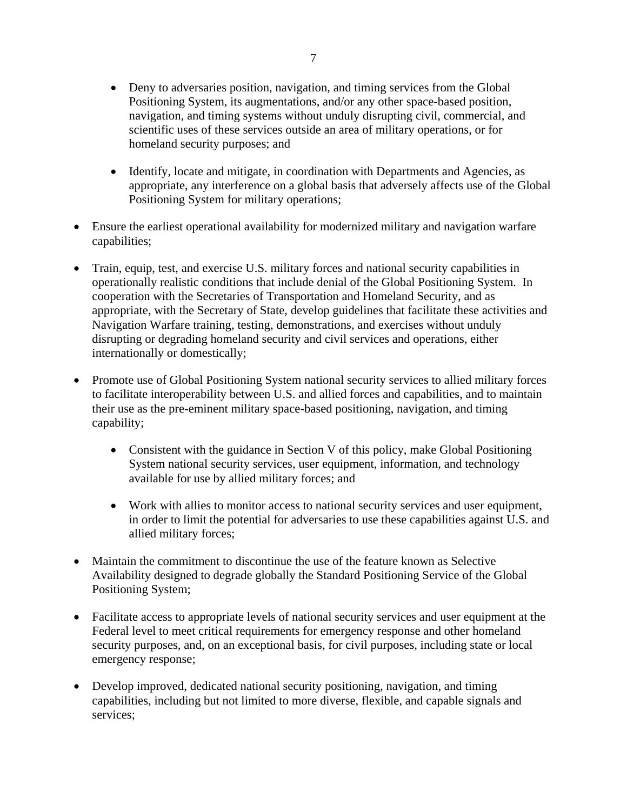- Deny to adversaries position, navigation, and timing services from the Global Positioning System, its augmentations, and/or any other space-based position, navigation, and timing systems without unduly disrupting civil, commercial, and scientific uses of these services outside an area of military operations, or for homeland security purposes; and
- Identify, locate and mitigate, in coordination with Departments and Agencies, as appropriate, any interference on a global basis that adversely affects use of the Global Positioning System for military operations;
- Ensure the earliest operational availability for modernized military and navigation warfare capabilities;
- Train, equip, test, and exercise U.S. military forces and national security capabilities in operationally realistic conditions that include denial of the Global Positioning System. In cooperation with the Secretaries of Transportation and Homeland Security, and as appropriate, with the Secretary of State, develop guidelines that facilitate these activities and Navigation Warfare training, testing, demonstrations, and exercises without unduly disrupting or degrading homeland security and civil services and operations, either internationally or domestically;
- Promote use of Global Positioning System national security services to allied military forces to facilitate interoperability between U.S. and allied forces and capabilities, and to maintain their use as the pre-eminent military space-based positioning, navigation, and timing capability;
	- Consistent with the guidance in Section V of this policy, make Global Positioning System national security services, user equipment, information, and technology available for use by allied military forces; and
	- Work with allies to monitor access to national security services and user equipment, in order to limit the potential for adversaries to use these capabilities against U.S. and allied military forces;
- Maintain the commitment to discontinue the use of the feature known as Selective Availability designed to degrade globally the Standard Positioning Service of the Global Positioning System;
- Facilitate access to appropriate levels of national security services and user equipment at the Federal level to meet critical requirements for emergency response and other homeland security purposes, and, on an exceptional basis, for civil purposes, including state or local emergency response;
- Develop improved, dedicated national security positioning, navigation, and timing capabilities, including but not limited to more diverse, flexible, and capable signals and services;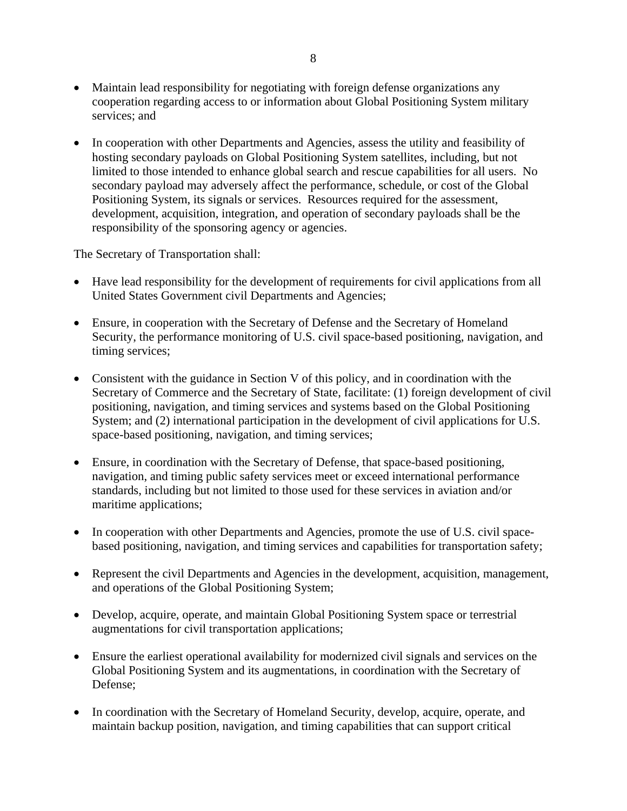- Maintain lead responsibility for negotiating with foreign defense organizations any cooperation regarding access to or information about Global Positioning System military services; and
- In cooperation with other Departments and Agencies, assess the utility and feasibility of hosting secondary payloads on Global Positioning System satellites, including, but not limited to those intended to enhance global search and rescue capabilities for all users. No secondary payload may adversely affect the performance, schedule, or cost of the Global Positioning System, its signals or services. Resources required for the assessment, development, acquisition, integration, and operation of secondary payloads shall be the responsibility of the sponsoring agency or agencies.

The Secretary of Transportation shall:

- Have lead responsibility for the development of requirements for civil applications from all United States Government civil Departments and Agencies;
- Ensure, in cooperation with the Secretary of Defense and the Secretary of Homeland Security, the performance monitoring of U.S. civil space-based positioning, navigation, and timing services;
- Consistent with the guidance in Section V of this policy, and in coordination with the Secretary of Commerce and the Secretary of State, facilitate: (1) foreign development of civil positioning, navigation, and timing services and systems based on the Global Positioning System; and (2) international participation in the development of civil applications for U.S. space-based positioning, navigation, and timing services;
- Ensure, in coordination with the Secretary of Defense, that space-based positioning, navigation, and timing public safety services meet or exceed international performance standards, including but not limited to those used for these services in aviation and/or maritime applications;
- In cooperation with other Departments and Agencies, promote the use of U.S. civil spacebased positioning, navigation, and timing services and capabilities for transportation safety;
- Represent the civil Departments and Agencies in the development, acquisition, management, and operations of the Global Positioning System;
- Develop, acquire, operate, and maintain Global Positioning System space or terrestrial augmentations for civil transportation applications;
- Ensure the earliest operational availability for modernized civil signals and services on the Global Positioning System and its augmentations, in coordination with the Secretary of Defense;
- In coordination with the Secretary of Homeland Security, develop, acquire, operate, and maintain backup position, navigation, and timing capabilities that can support critical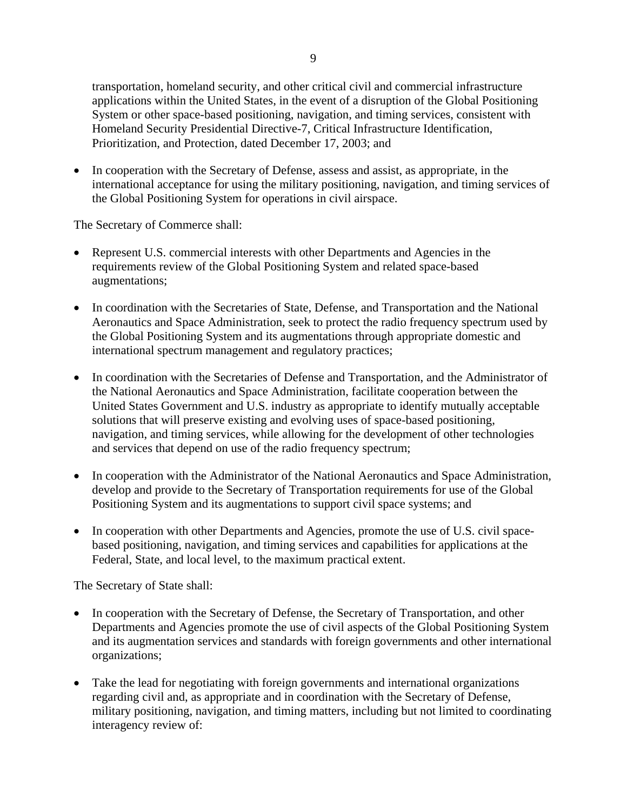transportation, homeland security, and other critical civil and commercial infrastructure applications within the United States, in the event of a disruption of the Global Positioning System or other space-based positioning, navigation, and timing services, consistent with Homeland Security Presidential Directive-7, Critical Infrastructure Identification, Prioritization, and Protection, dated December 17, 2003; and

• In cooperation with the Secretary of Defense, assess and assist, as appropriate, in the international acceptance for using the military positioning, navigation, and timing services of the Global Positioning System for operations in civil airspace.

The Secretary of Commerce shall:

- Represent U.S. commercial interests with other Departments and Agencies in the requirements review of the Global Positioning System and related space-based augmentations;
- In coordination with the Secretaries of State, Defense, and Transportation and the National Aeronautics and Space Administration, seek to protect the radio frequency spectrum used by the Global Positioning System and its augmentations through appropriate domestic and international spectrum management and regulatory practices;
- In coordination with the Secretaries of Defense and Transportation, and the Administrator of the National Aeronautics and Space Administration, facilitate cooperation between the United States Government and U.S. industry as appropriate to identify mutually acceptable solutions that will preserve existing and evolving uses of space-based positioning, navigation, and timing services, while allowing for the development of other technologies and services that depend on use of the radio frequency spectrum;
- In cooperation with the Administrator of the National Aeronautics and Space Administration, develop and provide to the Secretary of Transportation requirements for use of the Global Positioning System and its augmentations to support civil space systems; and
- In cooperation with other Departments and Agencies, promote the use of U.S. civil spacebased positioning, navigation, and timing services and capabilities for applications at the Federal, State, and local level, to the maximum practical extent.

The Secretary of State shall:

- In cooperation with the Secretary of Defense, the Secretary of Transportation, and other Departments and Agencies promote the use of civil aspects of the Global Positioning System and its augmentation services and standards with foreign governments and other international organizations;
- Take the lead for negotiating with foreign governments and international organizations regarding civil and, as appropriate and in coordination with the Secretary of Defense, military positioning, navigation, and timing matters, including but not limited to coordinating interagency review of: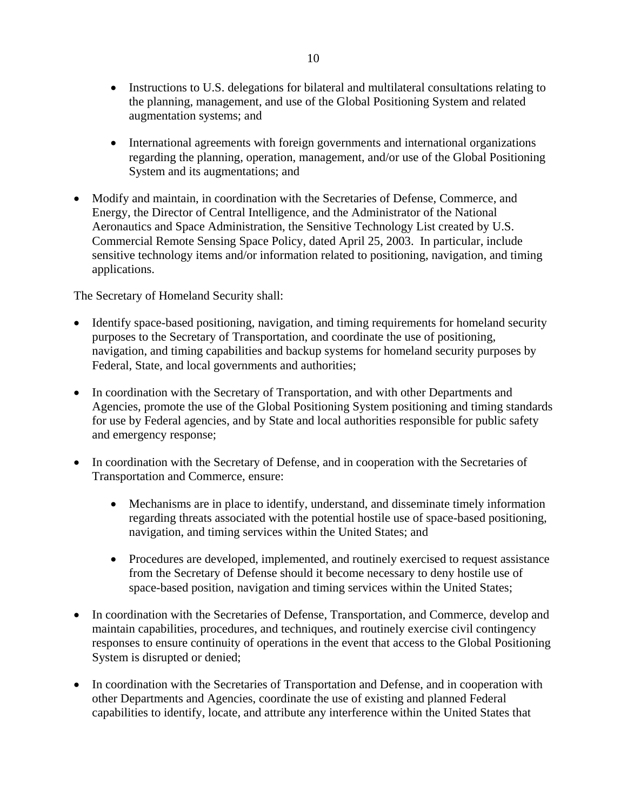- Instructions to U.S. delegations for bilateral and multilateral consultations relating to the planning, management, and use of the Global Positioning System and related augmentation systems; and
- International agreements with foreign governments and international organizations regarding the planning, operation, management, and/or use of the Global Positioning System and its augmentations; and
- Modify and maintain, in coordination with the Secretaries of Defense, Commerce, and Energy, the Director of Central Intelligence, and the Administrator of the National Aeronautics and Space Administration, the Sensitive Technology List created by U.S. Commercial Remote Sensing Space Policy, dated April 25, 2003. In particular, include sensitive technology items and/or information related to positioning, navigation, and timing applications.

The Secretary of Homeland Security shall:

- Identify space-based positioning, navigation, and timing requirements for homeland security purposes to the Secretary of Transportation, and coordinate the use of positioning, navigation, and timing capabilities and backup systems for homeland security purposes by Federal, State, and local governments and authorities;
- In coordination with the Secretary of Transportation, and with other Departments and Agencies, promote the use of the Global Positioning System positioning and timing standards for use by Federal agencies, and by State and local authorities responsible for public safety and emergency response;
- In coordination with the Secretary of Defense, and in cooperation with the Secretaries of Transportation and Commerce, ensure:
	- Mechanisms are in place to identify, understand, and disseminate timely information regarding threats associated with the potential hostile use of space-based positioning, navigation, and timing services within the United States; and
	- Procedures are developed, implemented, and routinely exercised to request assistance from the Secretary of Defense should it become necessary to deny hostile use of space-based position, navigation and timing services within the United States;
- In coordination with the Secretaries of Defense, Transportation, and Commerce, develop and maintain capabilities, procedures, and techniques, and routinely exercise civil contingency responses to ensure continuity of operations in the event that access to the Global Positioning System is disrupted or denied;
- In coordination with the Secretaries of Transportation and Defense, and in cooperation with other Departments and Agencies, coordinate the use of existing and planned Federal capabilities to identify, locate, and attribute any interference within the United States that